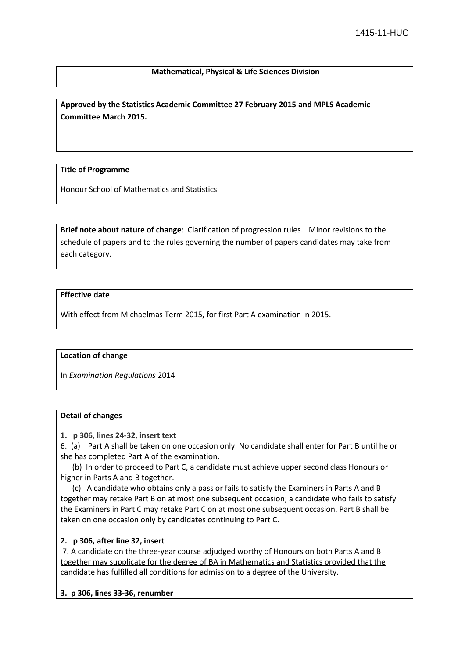# **Mathematical, Physical & Life Sciences Division**

**Approved by the Statistics Academic Committee 27 February 2015 and MPLS Academic Committee March 2015.**

### **Title of Programme**

Honour School of Mathematics and Statistics

**Brief note about nature of change**: Clarification of progression rules. Minor revisions to the schedule of papers and to the rules governing the number of papers candidates may take from each category.

# **Effective date**

With effect from Michaelmas Term 2015, for first Part A examination in 2015.

### **Location of change**

In *Examination Regulations* 2014

# **Detail of changes**

**1. p 306, lines 24-32, insert text**

6. (a) Part A shall be taken on one occasion only. No candidate shall enter for Part B until he or she has completed Part A of the examination.

(b) In order to proceed to Part C, a candidate must achieve upper second class Honours or higher in Parts A and B together.

(c) A candidate who obtains only a pass or fails to satisfy the Examiners in Parts A and B together may retake Part B on at most one subsequent occasion; a candidate who fails to satisfy the Examiners in Part C may retake Part C on at most one subsequent occasion. Part B shall be taken on one occasion only by candidates continuing to Part C.

### **2. p 306, after line 32, insert**

7. A candidate on the three-year course adjudged worthy of Honours on both Parts A and B together may supplicate for the degree of BA in Mathematics and Statistics provided that the candidate has fulfilled all conditions for admission to a degree of the University.

### **3. p 306, lines 33-36, renumber**